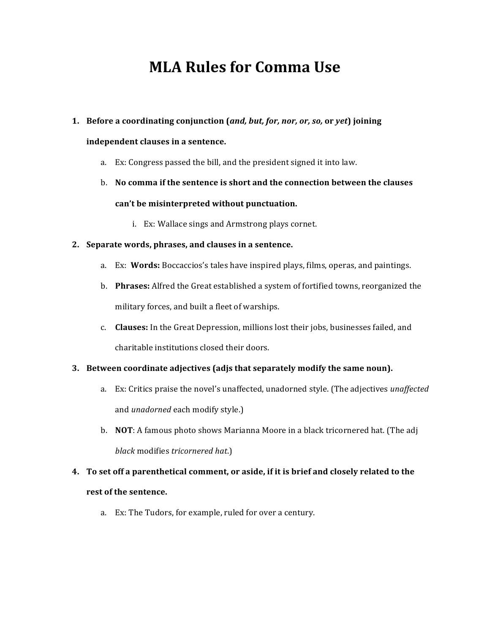# **MLA Rules for Comma Use**

# **1. Before a coordinating conjunction (and, but, for, nor, or, so, or yet) joining**

# **independent clauses in a sentence.**

- a. Ex: Congress passed the bill, and the president signed it into law.
- b. No comma if the sentence is short and the connection between the clauses can't be misinterpreted without punctuation.
	- i. Ex: Wallace sings and Armstrong plays cornet.

#### **2. Separate words, phrases, and clauses in a sentence.**

- a. Ex: **Words:** Boccaccios's tales have inspired plays, films, operas, and paintings.
- b. **Phrases:** Alfred the Great established a system of fortified towns, reorganized the military forces, and built a fleet of warships.
- c. **Clauses:** In the Great Depression, millions lost their jobs, businesses failed, and charitable institutions closed their doors.

# **3.** Between coordinate adjectives (adjs that separately modify the same noun).

- a. Ex: Critics praise the novel's unaffected, unadorned style. (The adjectives *unaffected* and *unadorned* each modify style.)
- b. **NOT**: A famous photo shows Marianna Moore in a black tricornered hat. (The adj *black* modifies *tricornered hat.*)

# **4.** To set off a parenthetical comment, or aside, if it is brief and closely related to the **rest of the sentence.**

a. Ex: The Tudors, for example, ruled for over a century.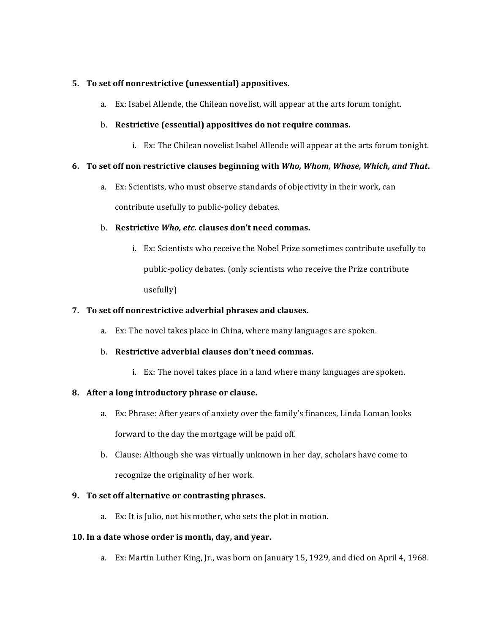### **5.** To set off nonrestrictive (unessential) appositives.

a. Ex: Isabel Allende, the Chilean novelist, will appear at the arts forum tonight.

#### b. **Restrictive (essential) appositives do not require commas.**

i. Ex: The Chilean novelist Isabel Allende will appear at the arts forum tonight.

#### **6.** To set off non restrictive clauses beginning with *Who, Whom, Whose, Which, and That*.

a. Ex: Scientists, who must observe standards of objectivity in their work, can contribute usefully to public-policy debates.

#### **b.** Restrictive *Who, etc.* clauses don't need commas.

i. Ex: Scientists who receive the Nobel Prize sometimes contribute usefully to public-policy debates. (only scientists who receive the Prize contribute usefully)

#### **7.** To set off nonrestrictive adverbial phrases and clauses.

a. Ex: The novel takes place in China, where many languages are spoken.

# b. **Restrictive adverbial clauses don't need commas.**

i. Ex: The novel takes place in a land where many languages are spoken.

#### 8. After a long introductory phrase or clause.

- a. Ex: Phrase: After years of anxiety over the family's finances, Linda Loman looks forward to the day the mortgage will be paid off.
- b. Clause: Although she was virtually unknown in her day, scholars have come to recognize the originality of her work.

#### **9.** To set off alternative or contrasting phrases.

a. Ex: It is Julio, not his mother, who sets the plot in motion.

#### 10. In a date whose order is month, day, and year.

a. Ex: Martin Luther King, Jr., was born on January 15, 1929, and died on April 4, 1968.